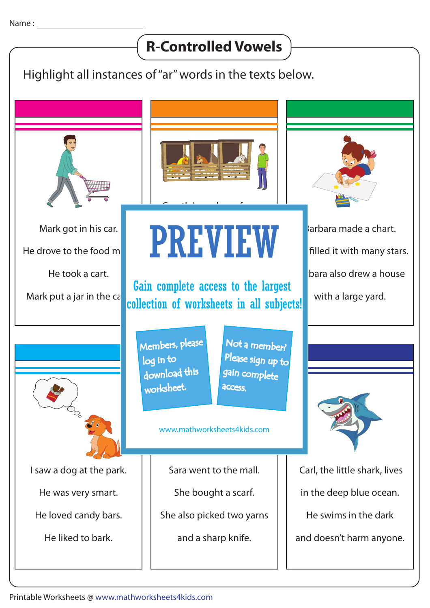## Highlight all instances of "ar" words in the texts below. Mark got in his car. He drove to the food  $m$ He took a cart. Mark put a jar in the  $c\bar{c}$ arbara made a chart. filled it with many stars. bara also drew a house with a large yard. Gareth has a large farm. It is far from the city. Gareth takes care of the collection of worksheets in all subjects! I saw a dog at the park. He was very smart. He loved candy bars. He liked to bark. Sara went to the mall. She bought a scarf. She also picked two yarns and a sharp knife. Carl, the little shark, lives in the deep blue ocean. He swims in the dark and doesn't harm anyone.  $c_{\rm{cav}}$ **R-Controlled Vowels** PREVIEW www.mathworksheets4kids.com Members, please download this worksheet. log in to Not a member? gain complete Please sign up to **access** Gain complete access to the largest

Printable Worksheets @ www.mathworksheets4kids.com